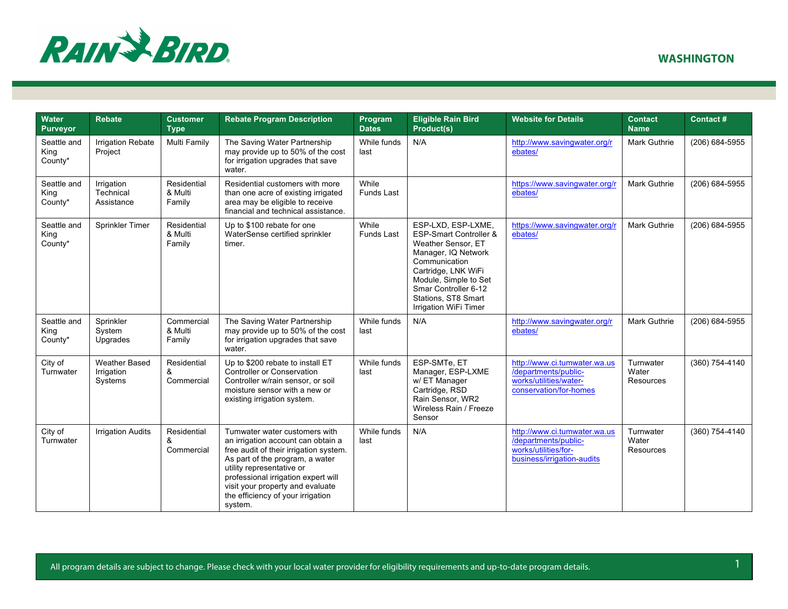

| Water<br><b>Purveyor</b>       | <b>Rebate</b>                                 | <b>Customer</b><br><b>Type</b>   | <b>Rebate Program Description</b>                                                                                                                                                                                                                                                                        | Program<br><b>Dates</b>    | <b>Eligible Rain Bird</b><br>Product(s)                                                                                                                                                                                            | <b>Website for Details</b>                                                                                 | <b>Contact</b><br><b>Name</b>   | <b>Contact#</b> |
|--------------------------------|-----------------------------------------------|----------------------------------|----------------------------------------------------------------------------------------------------------------------------------------------------------------------------------------------------------------------------------------------------------------------------------------------------------|----------------------------|------------------------------------------------------------------------------------------------------------------------------------------------------------------------------------------------------------------------------------|------------------------------------------------------------------------------------------------------------|---------------------------------|-----------------|
| Seattle and<br>King<br>County* | <b>Irrigation Rebate</b><br>Project           | Multi Family                     | The Saving Water Partnership<br>may provide up to 50% of the cost<br>for irrigation upgrades that save<br>water.                                                                                                                                                                                         | While funds<br>last        | N/A                                                                                                                                                                                                                                | http://www.savingwater.org/r<br>ebates/                                                                    | Mark Guthrie                    | (206) 684-5955  |
| Seattle and<br>King<br>County* | Irrigation<br>Technical<br>Assistance         | Residential<br>& Multi<br>Family | Residential customers with more<br>than one acre of existing irrigated<br>area may be eligible to receive<br>financial and technical assistance.                                                                                                                                                         | While<br><b>Funds Last</b> |                                                                                                                                                                                                                                    | https://www.savingwater.org/r<br>ebates/                                                                   | <b>Mark Guthrie</b>             | (206) 684-5955  |
| Seattle and<br>King<br>County* | Sprinkler Timer                               | Residential<br>& Multi<br>Family | Up to \$100 rebate for one<br>WaterSense certified sprinkler<br>timer.                                                                                                                                                                                                                                   | While<br>Funds Last        | ESP-LXD, ESP-LXME,<br>ESP-Smart Controller &<br>Weather Sensor, ET<br>Manager, IQ Network<br>Communication<br>Cartridge, LNK WiFi<br>Module, Simple to Set<br>Smar Controller 6-12<br>Stations, ST8 Smart<br>Irrigation WiFi Timer | https://www.savingwater.org/r<br>ebates/                                                                   | Mark Guthrie                    | (206) 684-5955  |
| Seattle and<br>King<br>County* | Sprinkler<br>System<br>Upgrades               | Commercial<br>& Multi<br>Family  | The Saving Water Partnership<br>may provide up to 50% of the cost<br>for irrigation upgrades that save<br>water.                                                                                                                                                                                         | While funds<br>last        | N/A                                                                                                                                                                                                                                | http://www.savingwater.org/r<br>ebates/                                                                    | Mark Guthrie                    | (206) 684-5955  |
| City of<br>Turnwater           | <b>Weather Based</b><br>Irrigation<br>Systems | Residential<br>&<br>Commercial   | Up to \$200 rebate to install ET<br>Controller or Conservation<br>Controller w/rain sensor, or soil<br>moisture sensor with a new or<br>existing irrigation system.                                                                                                                                      | While funds<br>last        | ESP-SMTe. ET<br>Manager, ESP-LXME<br>w/ ET Manager<br>Cartridge, RSD<br>Rain Sensor, WR2<br>Wireless Rain / Freeze<br>Sensor                                                                                                       | http://www.ci.tumwater.wa.us<br>/departments/public-<br>works/utilities/water-<br>conservation/for-homes   | Turnwater<br>Water<br>Resources | (360) 754-4140  |
| City of<br>Turnwater           | <b>Irrigation Audits</b>                      | Residential<br>&<br>Commercial   | Tumwater water customers with<br>an irrigation account can obtain a<br>free audit of their irrigation system.<br>As part of the program, a water<br>utility representative or<br>professional irrigation expert will<br>visit your property and evaluate<br>the efficiency of your irrigation<br>system. | While funds<br>last        | N/A                                                                                                                                                                                                                                | http://www.ci.tumwater.wa.us<br>/departments/public-<br>works/utilities/for-<br>business/irrigation-audits | Turnwater<br>Water<br>Resources | (360) 754-4140  |

All program details are subject to change. Please check with your local water provider for eligibility requirements and up-to-date program details. 4.1 All program details are subject to change. Please check with your loca